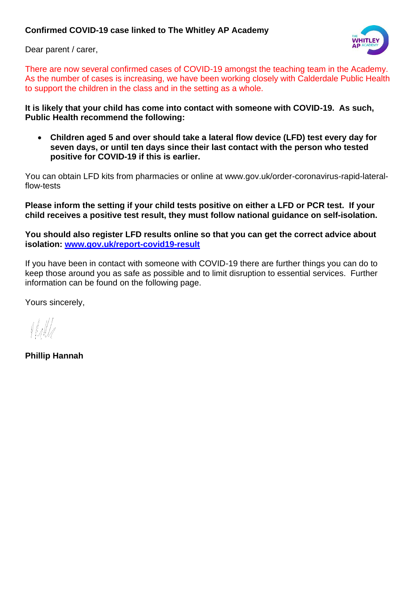## **Confirmed COVID-19 case linked to The Whitley AP Academy**

Dear parent / carer,



There are now several confirmed cases of COVID-19 amongst the teaching team in the Academy. As the number of cases is increasing, we have been working closely with Calderdale Public Health to support the children in the class and in the setting as a whole.

**It is likely that your child has come into contact with someone with COVID-19. As such, Public Health recommend the following:**

• **Children aged 5 and over should take a lateral flow device (LFD) test every day for seven days, or until ten days since their last contact with the person who tested positive for COVID-19 if this is earlier.** 

You can obtain LFD kits from pharmacies or online at www.gov.uk/order-coronavirus-rapid-lateralflow-tests

**Please inform the setting if your child tests positive on either a LFD or PCR test. If your child receives a positive test result, they must follow national guidance on self-isolation.**

**You should also register LFD results online so that you can get the correct advice about isolation: [www.gov.uk/report-covid19-result](http://www.gov.uk/report-covid19-result)**

If you have been in contact with someone with COVID-19 there are further things you can do to keep those around you as safe as possible and to limit disruption to essential services. Further information can be found on the following page.

Yours sincerely,

**Phillip Hannah**